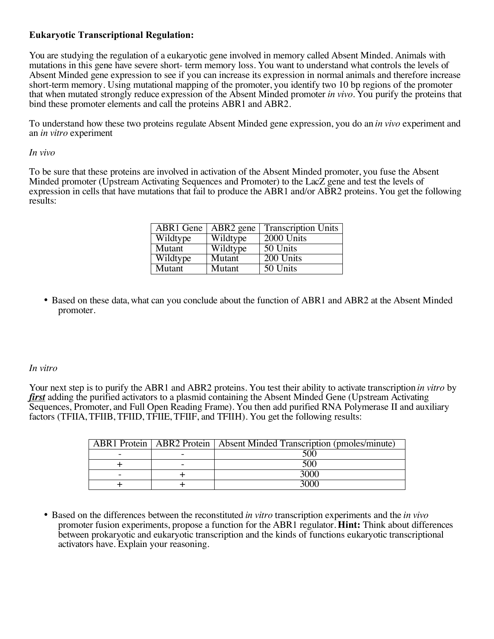## **Eukaryotic Transcriptional Regulation:**

You are studying the regulation of a eukaryotic gene involved in memory called Absent Minded. Animals with mutations in this gene have severe short- term memory loss. You want to understand what controls the levels of Absent Minded gene expression to see if you can increase its expression in normal animals and therefore increase short-term memory. Using mutational mapping of the promoter, you identify two 10 bp regions of the promoter that when mutated strongly reduce expression of the Absent Minded promoter *in vivo*. You purify the proteins that bind these promoter elements and call the proteins ABR1 and ABR2.

To understand how these two proteins regulate Absent Minded gene expression, you do an *in vivo* experiment and an *in vitro* experiment

## *In vivo*

To be sure that these proteins are involved in activation of the Absent Minded promoter, you fuse the Absent Minded promoter (Upstream Activating Sequences and Promoter) to the LacZ gene and test the levels of expression in cells that have mutations that fail to produce the ABR1 and/or ABR2 proteins. You get the following results:

| ABR1 Gene | $\overline{ABR}$ gene | <b>Transcription Units</b> |
|-----------|-----------------------|----------------------------|
| Wildtype  | Wildtype              | 2000 Units                 |
| Mutant    | Wildtype              | $50$ Units                 |
| Wildtype  | Mutant                | 200 Units                  |
| Mutant    | Mutant                | 50 Units                   |

• Based on these data, what can you conclude about the function of ABR1 and ABR2 at the Absent Minded promoter.

## *In vitro*

Your next step is to purify the ABR1 and ABR2 proteins. You test their ability to activate transcription *in vitro* by *first* adding the purified activators to a plasmid containing the Absent Minded Gene (Upstream Activating Sequences, Promoter, and Full Open Reading Frame). You then add purified RNA Polymerase II and auxiliary factors (TFIIA, TFIIB, TFIID, TFIIE, TFIIF, and TFIIH). You get the following results:

|  | <b>ABR1</b> Protein   ABR2 Protein   Absent Minded Transcription (pmoles/minute) |
|--|----------------------------------------------------------------------------------|
|  |                                                                                  |
|  |                                                                                  |
|  |                                                                                  |
|  |                                                                                  |

• Based on the differences between the reconstituted *in vitro* transcription experiments and the *in vivo* promoter fusion experiments, propose a function for the ABR1 regulator. **Hint:** Think about differences between prokaryotic and eukaryotic transcription and the kinds of functions eukaryotic transcriptional activators have. Explain your reasoning.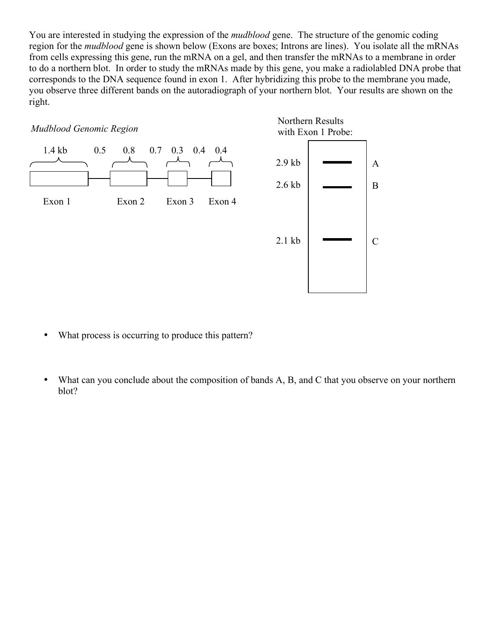You are interested in studying the expression of the *mudblood* gene. The structure of the genomic coding region for the *mudblood* gene is shown below (Exons are boxes; Introns are lines). You isolate all the mRNAs from cells expressing this gene, run the mRNA on a gel, and then transfer the mRNAs to a membrane in order to do a northern blot. In order to study the mRNAs made by this gene, you make a radiolabled DNA probe that corresponds to the DNA sequence found in exon 1. After hybridizing this probe to the membrane you made, you observe three different bands on the autoradiograph of your northern blot. Your results are shown on the right.



- What process is occurring to produce this pattern?
- What can you conclude about the composition of bands A, B, and C that you observe on your northern blot?